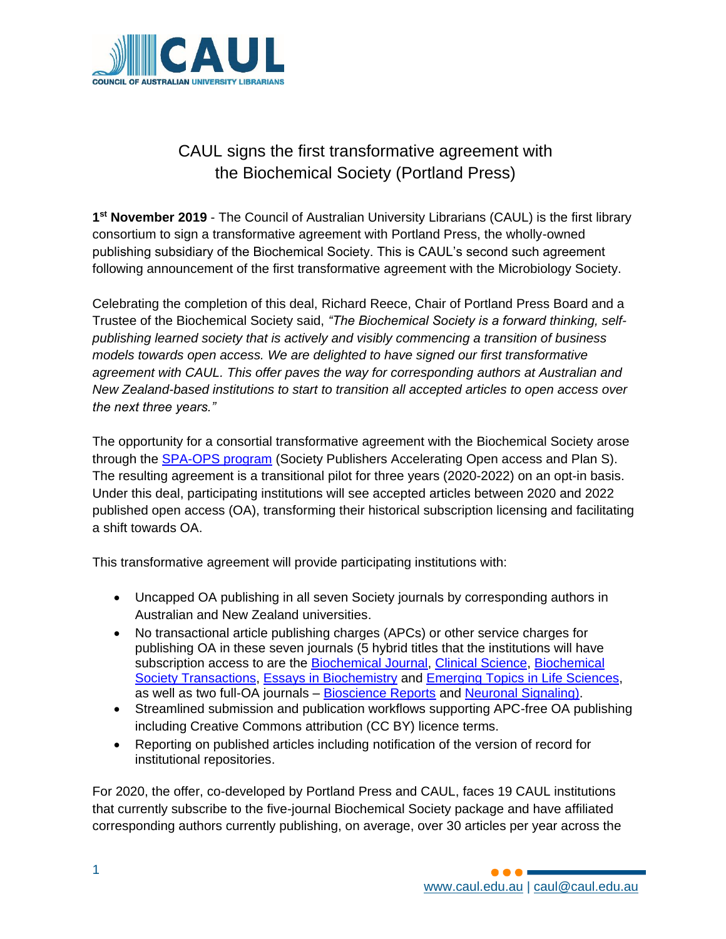

## CAUL signs the first transformative agreement with the Biochemical Society (Portland Press)

**1 st November 2019** - The Council of Australian University Librarians (CAUL) is the first library consortium to sign a transformative agreement with Portland Press, the wholly-owned publishing subsidiary of the Biochemical Society. This is CAUL's second such agreement following announcement of the first transformative agreement with the Microbiology Society.

Celebrating the completion of this deal, Richard Reece, Chair of Portland Press Board and a Trustee of the Biochemical Society said, *"The Biochemical Society is a forward thinking, selfpublishing learned society that is actively and visibly commencing a transition of business models towards open access. We are delighted to have signed our first transformative agreement with CAUL. This offer paves the way for corresponding authors at Australian and New Zealand-based institutions to start to transition all accepted articles to open access over the next three years."*

The opportunity for a consortial transformative agreement with the Biochemical Society arose through the [SPA-OPS program](https://doi.org/10.6084/m9.figshare.c.4561397.v2) (Society Publishers Accelerating Open access and Plan S). The resulting agreement is a transitional pilot for three years (2020-2022) on an opt-in basis. Under this deal, participating institutions will see accepted articles between 2020 and 2022 published open access (OA), transforming their historical subscription licensing and facilitating a shift towards OA.

This transformative agreement will provide participating institutions with:

- Uncapped OA publishing in all seven Society journals by corresponding authors in Australian and New Zealand universities.
- No transactional article publishing charges (APCs) or other service charges for publishing OA in these seven journals (5 hybrid titles that the institutions will have subscription access to are the [Biochemical Journal,](https://www.portlandpress.com/biochemj) [Clinical Science,](https://www.portlandpress.com/clinsci) Biochemical [Society Transactions,](https://www.portlandpress.com/biochemsoctrans) [Essays in Biochemistry](https://www.portlandpress.com/essaysbiochem) and [Emerging Topics in Life Sciences,](https://www.portlandpress.com/emergtoplifesci) as well as two full-OA journals – [Bioscience Reports](https://www.portlandpress.com/bioscirep) and [Neuronal Signaling\)](https://www.portlandpress.com/neuronalsignal).
- Streamlined submission and publication workflows supporting APC-free OA publishing including Creative Commons attribution (CC BY) licence terms.
- Reporting on published articles including notification of the version of record for institutional repositories.

For 2020, the offer, co-developed by Portland Press and CAUL, faces 19 CAUL institutions that currently subscribe to the five-journal Biochemical Society package and have affiliated corresponding authors currently publishing, on average, over 30 articles per year across the